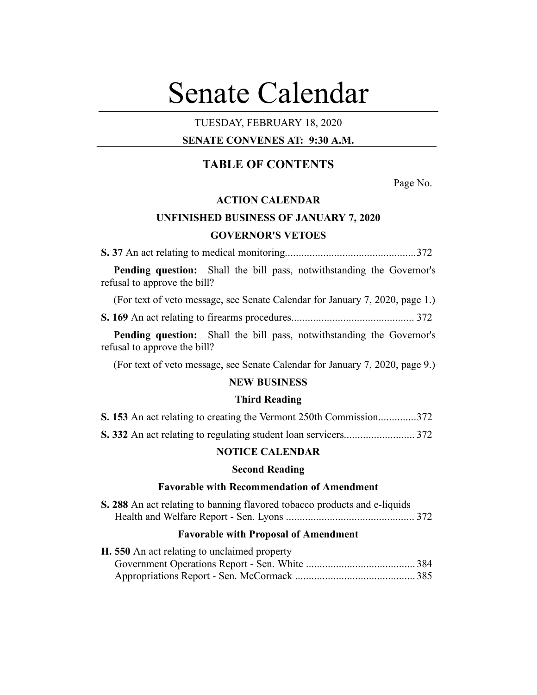# Senate Calendar

# TUESDAY, FEBRUARY 18, 2020

## **SENATE CONVENES AT: 9:30 A.M.**

# **TABLE OF CONTENTS**

Page No.

# **ACTION CALENDAR**

# **UNFINISHED BUSINESS OF JANUARY 7, 2020 GOVERNOR'S VETOES**

**S. 37** An act relating to medical monitoring................................................372

**Pending question:** Shall the bill pass, notwithstanding the Governor's refusal to approve the bill?

(For text of veto message, see Senate Calendar for January 7, 2020, page 1.)

**S. 169** An act relating to firearms procedures............................................. 372

**Pending question:** Shall the bill pass, notwithstanding the Governor's refusal to approve the bill?

(For text of veto message, see Senate Calendar for January 7, 2020, page 9.)

## **NEW BUSINESS**

#### **Third Reading**

|  |  |  |  | S. 153 An act relating to creating the Vermont 250th Commission372 |  |  |
|--|--|--|--|--------------------------------------------------------------------|--|--|
|--|--|--|--|--------------------------------------------------------------------|--|--|

**S. 332** An act relating to regulating student loan servicers.......................... 372

## **NOTICE CALENDAR**

## **Second Reading**

## **Favorable with Recommendation of Amendment**

| S. 288 An act relating to banning flavored tobacco products and e-liquids |  |
|---------------------------------------------------------------------------|--|
|                                                                           |  |

#### **Favorable with Proposal of Amendment**

| H. 550 An act relating to unclaimed property |  |
|----------------------------------------------|--|
|                                              |  |
|                                              |  |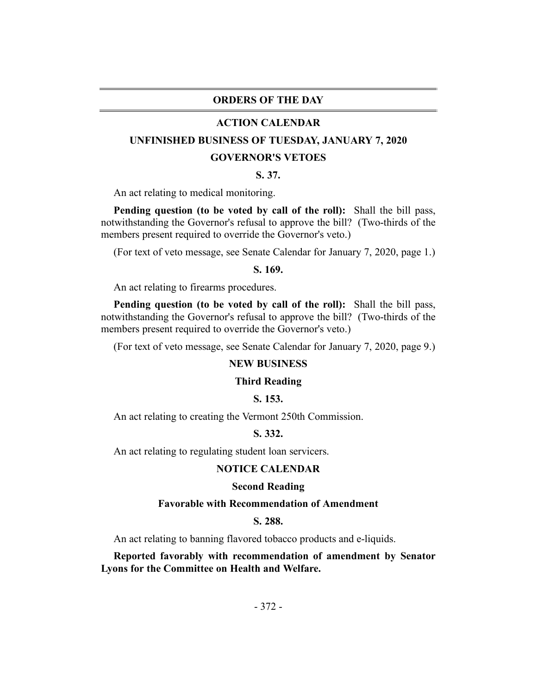## **ORDERS OF THE DAY**

#### **ACTION CALENDAR**

# **UNFINISHED BUSINESS OF TUESDAY, JANUARY 7, 2020**

#### **GOVERNOR'S VETOES**

## **S. 37.**

An act relating to medical monitoring.

**Pending question (to be voted by call of the roll):** Shall the bill pass, notwithstanding the Governor's refusal to approve the bill? (Two-thirds of the members present required to override the Governor's veto.)

(For text of veto message, see Senate Calendar for January 7, 2020, page 1.)

#### **S. 169.**

An act relating to firearms procedures.

**Pending question (to be voted by call of the roll):** Shall the bill pass, notwithstanding the Governor's refusal to approve the bill? (Two-thirds of the members present required to override the Governor's veto.)

(For text of veto message, see Senate Calendar for January 7, 2020, page 9.)

## **NEW BUSINESS**

#### **Third Reading**

## **S. 153.**

An act relating to creating the Vermont 250th Commission.

## **S. 332.**

An act relating to regulating student loan servicers.

## **NOTICE CALENDAR**

#### **Second Reading**

## **Favorable with Recommendation of Amendment**

## **S. 288.**

An act relating to banning flavored tobacco products and e-liquids.

**Reported favorably with recommendation of amendment by Senator Lyons for the Committee on Health and Welfare.**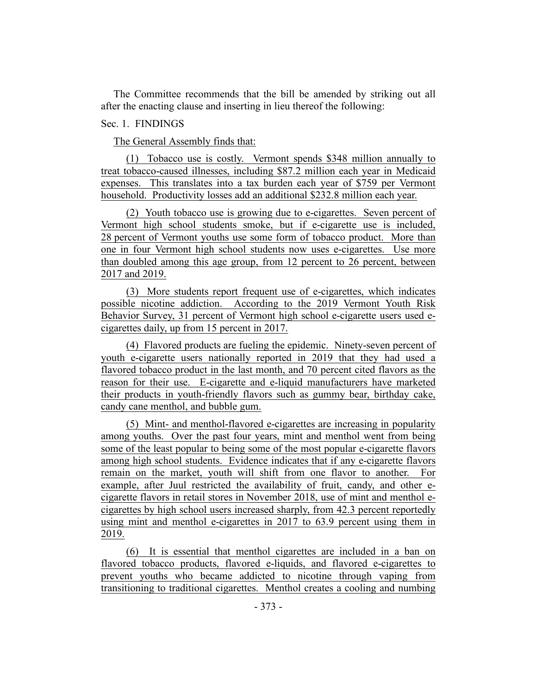The Committee recommends that the bill be amended by striking out all after the enacting clause and inserting in lieu thereof the following:

## Sec. 1. FINDINGS

The General Assembly finds that:

(1) Tobacco use is costly. Vermont spends \$348 million annually to treat tobacco-caused illnesses, including \$87.2 million each year in Medicaid expenses. This translates into a tax burden each year of \$759 per Vermont household. Productivity losses add an additional \$232.8 million each year.

(2) Youth tobacco use is growing due to e-cigarettes. Seven percent of Vermont high school students smoke, but if e-cigarette use is included, 28 percent of Vermont youths use some form of tobacco product. More than one in four Vermont high school students now uses e-cigarettes. Use more than doubled among this age group, from 12 percent to 26 percent, between 2017 and 2019.

(3) More students report frequent use of e-cigarettes, which indicates possible nicotine addiction. According to the 2019 Vermont Youth Risk Behavior Survey, 31 percent of Vermont high school e-cigarette users used ecigarettes daily, up from 15 percent in 2017.

(4) Flavored products are fueling the epidemic. Ninety-seven percent of youth e-cigarette users nationally reported in 2019 that they had used a flavored tobacco product in the last month, and 70 percent cited flavors as the reason for their use. E-cigarette and e-liquid manufacturers have marketed their products in youth-friendly flavors such as gummy bear, birthday cake, candy cane menthol, and bubble gum.

(5) Mint- and menthol-flavored e-cigarettes are increasing in popularity among youths. Over the past four years, mint and menthol went from being some of the least popular to being some of the most popular e-cigarette flavors among high school students. Evidence indicates that if any e-cigarette flavors remain on the market, youth will shift from one flavor to another. For example, after Juul restricted the availability of fruit, candy, and other ecigarette flavors in retail stores in November 2018, use of mint and menthol ecigarettes by high school users increased sharply, from 42.3 percent reportedly using mint and menthol e-cigarettes in 2017 to 63.9 percent using them in 2019.

(6) It is essential that menthol cigarettes are included in a ban on flavored tobacco products, flavored e-liquids, and flavored e-cigarettes to prevent youths who became addicted to nicotine through vaping from transitioning to traditional cigarettes. Menthol creates a cooling and numbing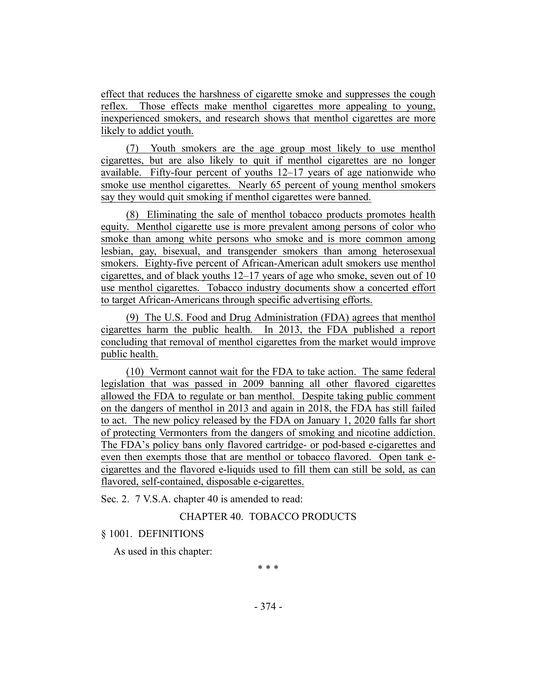effect that reduces the harshness of cigarette smoke and suppresses the cough reflex. Those effects make menthol cigarettes more appealing to young, inexperienced smokers, and research shows that menthol cigarettes are more likely to addict youth.

(7) Youth smokers are the age group most likely to use menthol cigarettes, but are also likely to quit if menthol cigarettes are no longer available. Fifty-four percent of youths 12–17 years of age nationwide who smoke use menthol cigarettes. Nearly 65 percent of young menthol smokers say they would quit smoking if menthol cigarettes were banned.

(8) Eliminating the sale of menthol tobacco products promotes health equity. Menthol cigarette use is more prevalent among persons of color who smoke than among white persons who smoke and is more common among lesbian, gay, bisexual, and transgender smokers than among heterosexual smokers. Eighty-five percent of African-American adult smokers use menthol cigarettes, and of black youths 12–17 years of age who smoke, seven out of 10 use menthol cigarettes. Tobacco industry documents show a concerted effort to target African-Americans through specific advertising efforts.

(9) The U.S. Food and Drug Administration (FDA) agrees that menthol cigarettes harm the public health. In 2013, the FDA published a report concluding that removal of menthol cigarettes from the market would improve public health.

(10) Vermont cannot wait for the FDA to take action. The same federal legislation that was passed in 2009 banning all other flavored cigarettes allowed the FDA to regulate or ban menthol. Despite taking public comment on the dangers of menthol in 2013 and again in 2018, the FDA has still failed to act. The new policy released by the FDA on January 1, 2020 falls far short of protecting Vermonters from the dangers of smoking and nicotine addiction. The FDA's policy bans only flavored cartridge- or pod-based e-cigarettes and even then exempts those that are menthol or tobacco flavored. Open tank ecigarettes and the flavored e-liquids used to fill them can still be sold, as can flavored, self-contained, disposable e-cigarettes.

Sec. 2. 7 V.S.A. chapter 40 is amended to read:

# CHAPTER 40. TOBACCO PRODUCTS

## § 1001. DEFINITIONS

As used in this chapter:

\* \* \*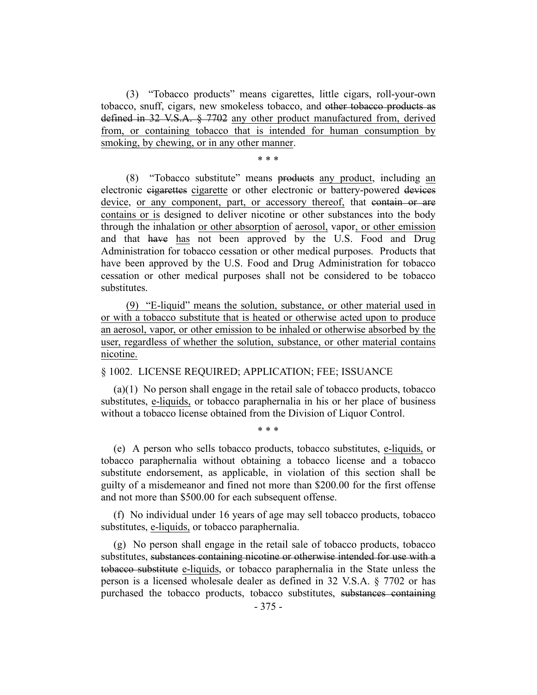(3) "Tobacco products" means cigarettes, little cigars, roll-your-own tobacco, snuff, cigars, new smokeless tobacco, and other tobacco products as defined in 32 V.S.A. § 7702 any other product manufactured from, derived from, or containing tobacco that is intended for human consumption by smoking, by chewing, or in any other manner.

## \* \* \*

(8) "Tobacco substitute" means products any product, including an electronic cigarettes cigarette or other electronic or battery-powered devices device, or any component, part, or accessory thereof, that contain or are contains or is designed to deliver nicotine or other substances into the body through the inhalation or other absorption of aerosol, vapor, or other emission and that have has not been approved by the U.S. Food and Drug Administration for tobacco cessation or other medical purposes. Products that have been approved by the U.S. Food and Drug Administration for tobacco cessation or other medical purposes shall not be considered to be tobacco substitutes.

(9) "E-liquid" means the solution, substance, or other material used in or with a tobacco substitute that is heated or otherwise acted upon to produce an aerosol, vapor, or other emission to be inhaled or otherwise absorbed by the user, regardless of whether the solution, substance, or other material contains nicotine.

## § 1002. LICENSE REQUIRED; APPLICATION; FEE; ISSUANCE

(a)(1) No person shall engage in the retail sale of tobacco products, tobacco substitutes, e-liquids, or tobacco paraphernalia in his or her place of business without a tobacco license obtained from the Division of Liquor Control.

\* \* \*

(e) A person who sells tobacco products, tobacco substitutes, e-liquids, or tobacco paraphernalia without obtaining a tobacco license and a tobacco substitute endorsement, as applicable, in violation of this section shall be guilty of a misdemeanor and fined not more than \$200.00 for the first offense and not more than \$500.00 for each subsequent offense.

(f) No individual under 16 years of age may sell tobacco products, tobacco substitutes, e-liquids, or tobacco paraphernalia.

(g) No person shall engage in the retail sale of tobacco products, tobacco substitutes, substances containing nicotine or otherwise intended for use with a tobacco substitute e-liquids, or tobacco paraphernalia in the State unless the person is a licensed wholesale dealer as defined in 32 V.S.A. § 7702 or has purchased the tobacco products, tobacco substitutes, substances containing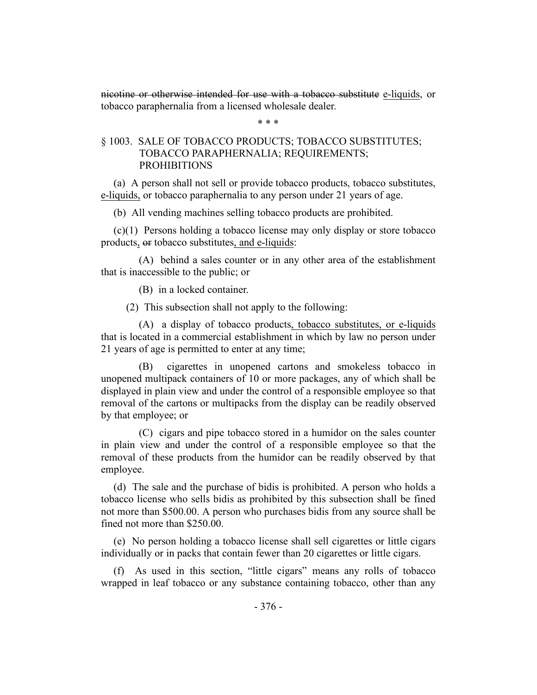nicotine or otherwise intended for use with a tobacco substitute e-liquids, or tobacco paraphernalia from a licensed wholesale dealer.

\* \* \*

# § 1003. SALE OF TOBACCO PRODUCTS; TOBACCO SUBSTITUTES; TOBACCO PARAPHERNALIA; REQUIREMENTS; PROHIBITIONS

(a) A person shall not sell or provide tobacco products, tobacco substitutes, e-liquids, or tobacco paraphernalia to any person under 21 years of age.

(b) All vending machines selling tobacco products are prohibited.

(c)(1) Persons holding a tobacco license may only display or store tobacco products, or tobacco substitutes, and e-liquids:

(A) behind a sales counter or in any other area of the establishment that is inaccessible to the public; or

(B) in a locked container.

(2) This subsection shall not apply to the following:

(A) a display of tobacco products, tobacco substitutes, or e-liquids that is located in a commercial establishment in which by law no person under 21 years of age is permitted to enter at any time;

(B) cigarettes in unopened cartons and smokeless tobacco in unopened multipack containers of 10 or more packages, any of which shall be displayed in plain view and under the control of a responsible employee so that removal of the cartons or multipacks from the display can be readily observed by that employee; or

(C) cigars and pipe tobacco stored in a humidor on the sales counter in plain view and under the control of a responsible employee so that the removal of these products from the humidor can be readily observed by that employee.

(d) The sale and the purchase of bidis is prohibited. A person who holds a tobacco license who sells bidis as prohibited by this subsection shall be fined not more than \$500.00. A person who purchases bidis from any source shall be fined not more than \$250.00.

(e) No person holding a tobacco license shall sell cigarettes or little cigars individually or in packs that contain fewer than 20 cigarettes or little cigars.

(f) As used in this section, "little cigars" means any rolls of tobacco wrapped in leaf tobacco or any substance containing tobacco, other than any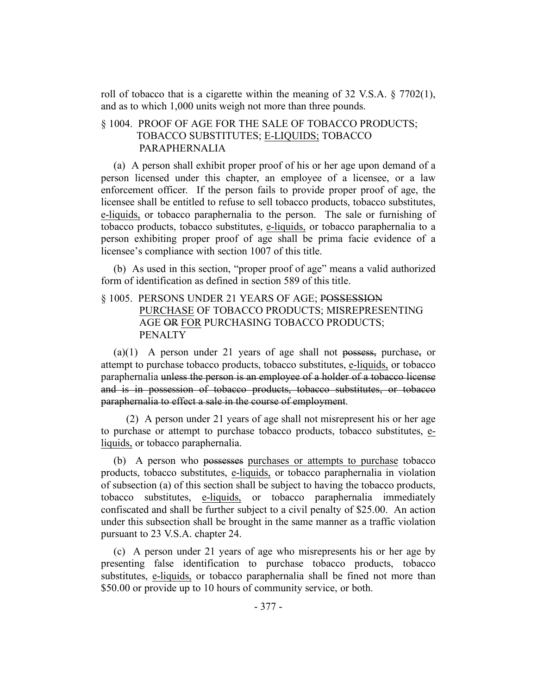roll of tobacco that is a cigarette within the meaning of 32 V.S.A.  $\S$  7702(1), and as to which 1,000 units weigh not more than three pounds.

# § 1004. PROOF OF AGE FOR THE SALE OF TOBACCO PRODUCTS; TOBACCO SUBSTITUTES; E-LIQUIDS; TOBACCO PARAPHERNALIA

(a) A person shall exhibit proper proof of his or her age upon demand of a person licensed under this chapter, an employee of a licensee, or a law enforcement officer. If the person fails to provide proper proof of age, the licensee shall be entitled to refuse to sell tobacco products, tobacco substitutes, e-liquids, or tobacco paraphernalia to the person. The sale or furnishing of tobacco products, tobacco substitutes, e-liquids, or tobacco paraphernalia to a person exhibiting proper proof of age shall be prima facie evidence of a licensee's compliance with section 1007 of this title.

(b) As used in this section, "proper proof of age" means a valid authorized form of identification as defined in section 589 of this title.

# § 1005. PERSONS UNDER 21 YEARS OF AGE; POSSESSION PURCHASE OF TOBACCO PRODUCTS; MISREPRESENTING AGE OR FOR PURCHASING TOBACCO PRODUCTS; PENALTY

(a)(1) A person under 21 years of age shall not possess, purchase, or attempt to purchase tobacco products, tobacco substitutes, e-liquids, or tobacco paraphernalia unless the person is an employee of a holder of a tobacco license and is in possession of tobacco products, tobacco substitutes, or tobacco paraphernalia to effect a sale in the course of employment.

(2) A person under 21 years of age shall not misrepresent his or her age to purchase or attempt to purchase tobacco products, tobacco substitutes, eliquids, or tobacco paraphernalia.

(b) A person who possesses purchases or attempts to purchase tobacco products, tobacco substitutes, e-liquids, or tobacco paraphernalia in violation of subsection (a) of this section shall be subject to having the tobacco products, tobacco substitutes, e-liquids, or tobacco paraphernalia immediately confiscated and shall be further subject to a civil penalty of \$25.00. An action under this subsection shall be brought in the same manner as a traffic violation pursuant to 23 V.S.A. chapter 24.

(c) A person under 21 years of age who misrepresents his or her age by presenting false identification to purchase tobacco products, tobacco substitutes, e-liquids, or tobacco paraphernalia shall be fined not more than \$50.00 or provide up to 10 hours of community service, or both.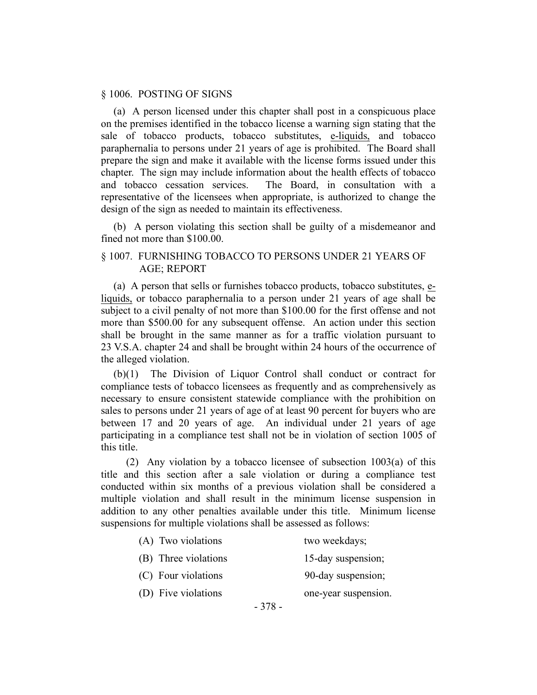## § 1006. POSTING OF SIGNS

(a) A person licensed under this chapter shall post in a conspicuous place on the premises identified in the tobacco license a warning sign stating that the sale of tobacco products, tobacco substitutes, e-liquids, and tobacco paraphernalia to persons under 21 years of age is prohibited. The Board shall prepare the sign and make it available with the license forms issued under this chapter. The sign may include information about the health effects of tobacco and tobacco cessation services. The Board, in consultation with a representative of the licensees when appropriate, is authorized to change the design of the sign as needed to maintain its effectiveness.

(b) A person violating this section shall be guilty of a misdemeanor and fined not more than \$100.00.

## § 1007. FURNISHING TOBACCO TO PERSONS UNDER 21 YEARS OF AGE; REPORT

(a) A person that sells or furnishes tobacco products, tobacco substitutes, eliquids, or tobacco paraphernalia to a person under 21 years of age shall be subject to a civil penalty of not more than \$100.00 for the first offense and not more than \$500.00 for any subsequent offense. An action under this section shall be brought in the same manner as for a traffic violation pursuant to 23 V.S.A. chapter 24 and shall be brought within 24 hours of the occurrence of the alleged violation.

(b)(1) The Division of Liquor Control shall conduct or contract for compliance tests of tobacco licensees as frequently and as comprehensively as necessary to ensure consistent statewide compliance with the prohibition on sales to persons under 21 years of age of at least 90 percent for buyers who are between 17 and 20 years of age. An individual under 21 years of age participating in a compliance test shall not be in violation of section 1005 of this title.

(2) Any violation by a tobacco licensee of subsection 1003(a) of this title and this section after a sale violation or during a compliance test conducted within six months of a previous violation shall be considered a multiple violation and shall result in the minimum license suspension in addition to any other penalties available under this title. Minimum license suspensions for multiple violations shall be assessed as follows:

| (A) Two violations   |         | two weekdays;        |
|----------------------|---------|----------------------|
| (B) Three violations |         | 15-day suspension;   |
| (C) Four violations  |         | 90-day suspension;   |
| (D) Five violations  |         | one-year suspension. |
|                      | $-378-$ |                      |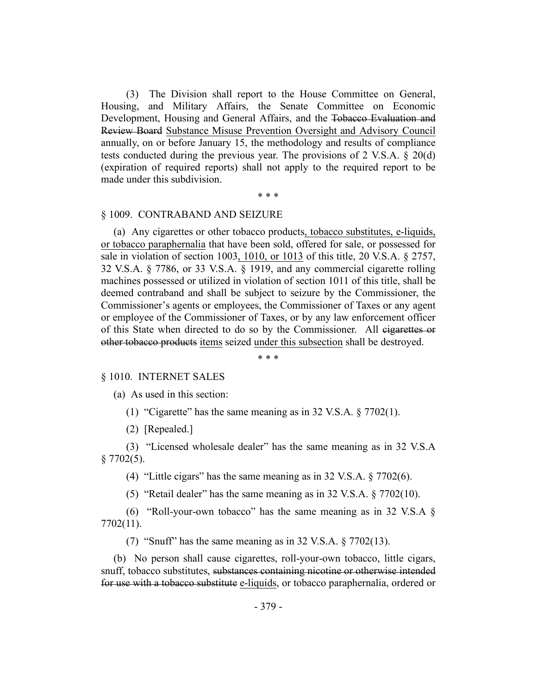(3) The Division shall report to the House Committee on General, Housing, and Military Affairs, the Senate Committee on Economic Development, Housing and General Affairs, and the Tobacco Evaluation and Review Board Substance Misuse Prevention Oversight and Advisory Council annually, on or before January 15, the methodology and results of compliance tests conducted during the previous year. The provisions of 2 V.S.A. § 20(d) (expiration of required reports) shall not apply to the required report to be made under this subdivision.

## \* \* \*

## § 1009. CONTRABAND AND SEIZURE

(a) Any cigarettes or other tobacco products, tobacco substitutes, e-liquids, or tobacco paraphernalia that have been sold, offered for sale, or possessed for sale in violation of section 1003, 1010, or 1013 of this title, 20 V.S.A. § 2757, 32 V.S.A. § 7786, or 33 V.S.A. § 1919, and any commercial cigarette rolling machines possessed or utilized in violation of section 1011 of this title, shall be deemed contraband and shall be subject to seizure by the Commissioner, the Commissioner's agents or employees, the Commissioner of Taxes or any agent or employee of the Commissioner of Taxes, or by any law enforcement officer of this State when directed to do so by the Commissioner. All cigarettes or other tobacco products items seized under this subsection shall be destroyed.

\* \* \*

## § 1010. INTERNET SALES

(a) As used in this section:

(1) "Cigarette" has the same meaning as in 32 V.S.A.  $\S 7702(1)$ .

(2) [Repealed.]

(3) "Licensed wholesale dealer" has the same meaning as in 32 V.S.A  $§ 7702(5).$ 

(4) "Little cigars" has the same meaning as in 32 V.S.A. § 7702(6).

(5) "Retail dealer" has the same meaning as in 32 V.S.A. § 7702(10).

(6) "Roll-your-own tobacco" has the same meaning as in 32 V.S.A  $\S$ 7702(11).

(7) "Snuff" has the same meaning as in  $32 \text{ V.S.A.} \& 7702(13)$ .

(b) No person shall cause cigarettes, roll-your-own tobacco, little cigars, snuff, tobacco substitutes, substances containing nicotine or otherwise intended for use with a tobacco substitute e-liquids, or tobacco paraphernalia, ordered or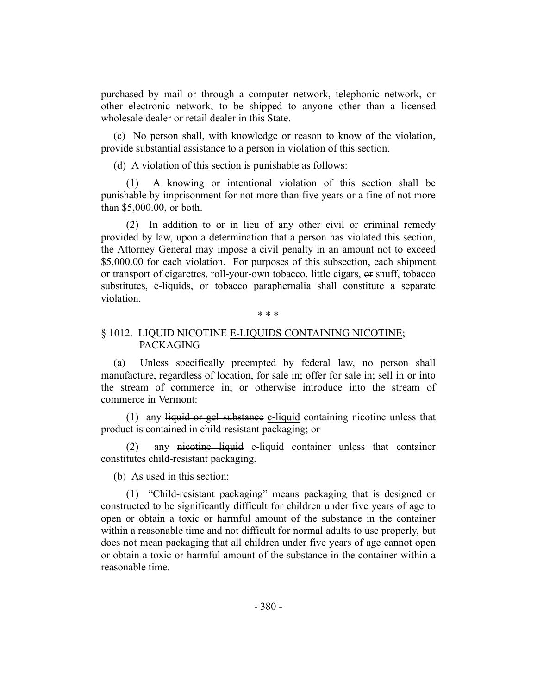purchased by mail or through a computer network, telephonic network, or other electronic network, to be shipped to anyone other than a licensed wholesale dealer or retail dealer in this State.

(c) No person shall, with knowledge or reason to know of the violation, provide substantial assistance to a person in violation of this section.

(d) A violation of this section is punishable as follows:

(1) A knowing or intentional violation of this section shall be punishable by imprisonment for not more than five years or a fine of not more than \$5,000.00, or both.

(2) In addition to or in lieu of any other civil or criminal remedy provided by law, upon a determination that a person has violated this section, the Attorney General may impose a civil penalty in an amount not to exceed \$5,000.00 for each violation. For purposes of this subsection, each shipment or transport of cigarettes, roll-your-own tobacco, little cigars, or snuff, tobacco substitutes, e-liquids, or tobacco paraphernalia shall constitute a separate violation.

\* \* \*

## § 1012. LIQUID NICOTINE E-LIQUIDS CONTAINING NICOTINE; PACKAGING

(a) Unless specifically preempted by federal law, no person shall manufacture, regardless of location, for sale in; offer for sale in; sell in or into the stream of commerce in; or otherwise introduce into the stream of commerce in Vermont:

(1) any liquid or gel substance e-liquid containing nicotine unless that product is contained in child-resistant packaging; or

(2) any nicotine liquid e-liquid container unless that container constitutes child-resistant packaging.

(b) As used in this section:

(1) "Child-resistant packaging" means packaging that is designed or constructed to be significantly difficult for children under five years of age to open or obtain a toxic or harmful amount of the substance in the container within a reasonable time and not difficult for normal adults to use properly, but does not mean packaging that all children under five years of age cannot open or obtain a toxic or harmful amount of the substance in the container within a reasonable time.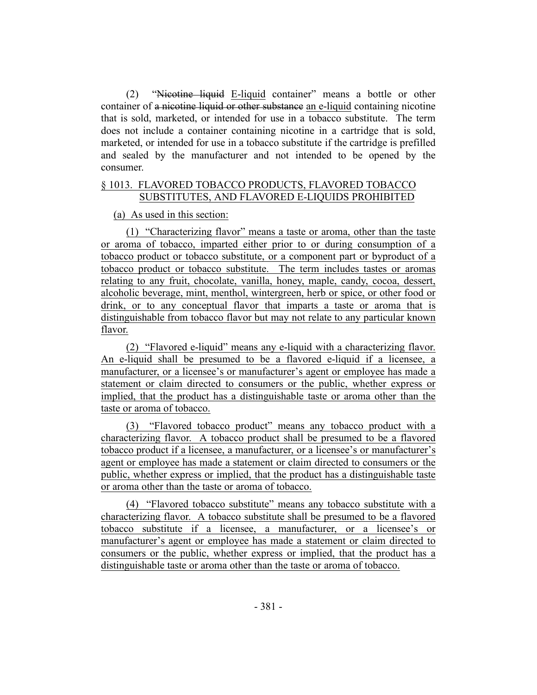(2) "Nicotine liquid E-liquid container" means a bottle or other container of a nicotine liquid or other substance an e-liquid containing nicotine that is sold, marketed, or intended for use in a tobacco substitute. The term does not include a container containing nicotine in a cartridge that is sold, marketed, or intended for use in a tobacco substitute if the cartridge is prefilled and sealed by the manufacturer and not intended to be opened by the consumer.

## § 1013. FLAVORED TOBACCO PRODUCTS, FLAVORED TOBACCO SUBSTITUTES, AND FLAVORED E-LIQUIDS PROHIBITED

## (a) As used in this section:

(1) "Characterizing flavor" means a taste or aroma, other than the taste or aroma of tobacco, imparted either prior to or during consumption of a tobacco product or tobacco substitute, or a component part or byproduct of a tobacco product or tobacco substitute. The term includes tastes or aromas relating to any fruit, chocolate, vanilla, honey, maple, candy, cocoa, dessert, alcoholic beverage, mint, menthol, wintergreen, herb or spice, or other food or drink, or to any conceptual flavor that imparts a taste or aroma that is distinguishable from tobacco flavor but may not relate to any particular known flavor.

(2) "Flavored e-liquid" means any e-liquid with a characterizing flavor. An e-liquid shall be presumed to be a flavored e-liquid if a licensee, a manufacturer, or a licensee's or manufacturer's agent or employee has made a statement or claim directed to consumers or the public, whether express or implied, that the product has a distinguishable taste or aroma other than the taste or aroma of tobacco.

(3) "Flavored tobacco product" means any tobacco product with a characterizing flavor. A tobacco product shall be presumed to be a flavored tobacco product if a licensee, a manufacturer, or a licensee's or manufacturer's agent or employee has made a statement or claim directed to consumers or the public, whether express or implied, that the product has a distinguishable taste or aroma other than the taste or aroma of tobacco.

(4) "Flavored tobacco substitute" means any tobacco substitute with a characterizing flavor. A tobacco substitute shall be presumed to be a flavored tobacco substitute if a licensee, a manufacturer, or a licensee's or manufacturer's agent or employee has made a statement or claim directed to consumers or the public, whether express or implied, that the product has a distinguishable taste or aroma other than the taste or aroma of tobacco.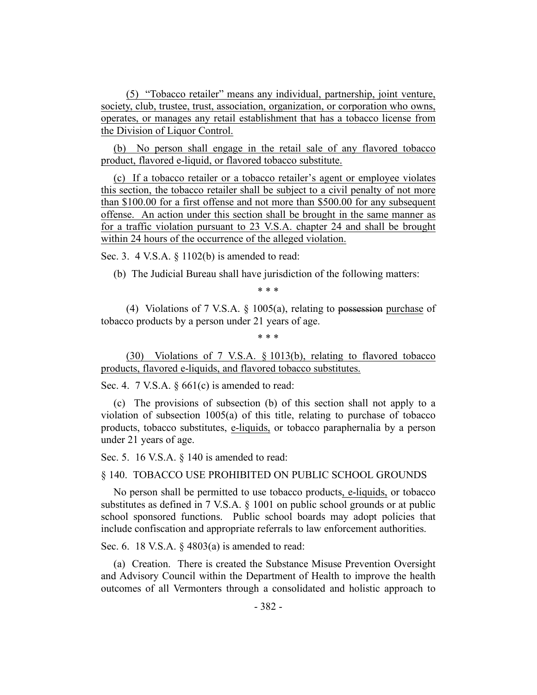(5) "Tobacco retailer" means any individual, partnership, joint venture, society, club, trustee, trust, association, organization, or corporation who owns, operates, or manages any retail establishment that has a tobacco license from the Division of Liquor Control.

(b) No person shall engage in the retail sale of any flavored tobacco product, flavored e-liquid, or flavored tobacco substitute.

(c) If a tobacco retailer or a tobacco retailer's agent or employee violates this section, the tobacco retailer shall be subject to a civil penalty of not more than \$100.00 for a first offense and not more than \$500.00 for any subsequent offense. An action under this section shall be brought in the same manner as for a traffic violation pursuant to 23 V.S.A. chapter 24 and shall be brought within 24 hours of the occurrence of the alleged violation.

Sec. 3. 4 V.S.A. § 1102(b) is amended to read:

(b) The Judicial Bureau shall have jurisdiction of the following matters:

\* \* \*

(4) Violations of 7 V.S.A. § 1005(a), relating to possession purchase of tobacco products by a person under 21 years of age.

\* \* \*

(30) Violations of 7 V.S.A. § 1013(b), relating to flavored tobacco products, flavored e-liquids, and flavored tobacco substitutes.

Sec. 4. 7 V.S.A. § 661(c) is amended to read:

(c) The provisions of subsection (b) of this section shall not apply to a violation of subsection 1005(a) of this title, relating to purchase of tobacco products, tobacco substitutes, e-liquids, or tobacco paraphernalia by a person under 21 years of age.

Sec. 5. 16 V.S.A. § 140 is amended to read:

## § 140. TOBACCO USE PROHIBITED ON PUBLIC SCHOOL GROUNDS

No person shall be permitted to use tobacco products, e-liquids, or tobacco substitutes as defined in 7 V.S.A. § 1001 on public school grounds or at public school sponsored functions. Public school boards may adopt policies that include confiscation and appropriate referrals to law enforcement authorities.

Sec. 6. 18 V.S.A. § 4803(a) is amended to read:

(a) Creation. There is created the Substance Misuse Prevention Oversight and Advisory Council within the Department of Health to improve the health outcomes of all Vermonters through a consolidated and holistic approach to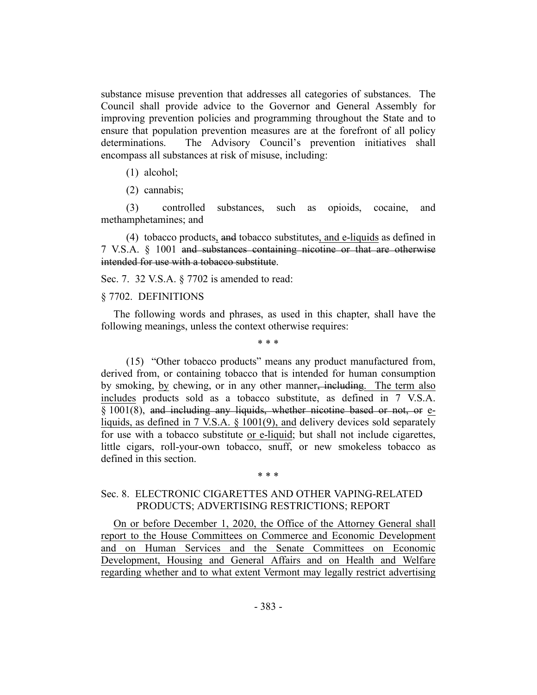substance misuse prevention that addresses all categories of substances. The Council shall provide advice to the Governor and General Assembly for improving prevention policies and programming throughout the State and to ensure that population prevention measures are at the forefront of all policy determinations. The Advisory Council's prevention initiatives shall encompass all substances at risk of misuse, including:

#### (1) alcohol;

(2) cannabis;

(3) controlled substances, such as opioids, cocaine, and methamphetamines; and

(4) tobacco products, and tobacco substitutes, and e-liquids as defined in 7 V.S.A. § 1001 and substances containing nicotine or that are otherwise intended for use with a tobacco substitute.

Sec. 7. 32 V.S.A. § 7702 is amended to read:

#### § 7702. DEFINITIONS

The following words and phrases, as used in this chapter, shall have the following meanings, unless the context otherwise requires:

\* \* \*

(15) "Other tobacco products" means any product manufactured from, derived from, or containing tobacco that is intended for human consumption by smoking, by chewing, or in any other manner, including. The term also includes products sold as a tobacco substitute, as defined in 7 V.S.A. § 1001(8), and including any liquids, whether nicotine based or not, or eliquids, as defined in 7 V.S.A. § 1001(9), and delivery devices sold separately for use with a tobacco substitute or e-liquid; but shall not include cigarettes, little cigars, roll-your-own tobacco, snuff, or new smokeless tobacco as defined in this section.

#### \* \* \*

## Sec. 8. ELECTRONIC CIGARETTES AND OTHER VAPING-RELATED PRODUCTS; ADVERTISING RESTRICTIONS; REPORT

On or before December 1, 2020, the Office of the Attorney General shall report to the House Committees on Commerce and Economic Development and on Human Services and the Senate Committees on Economic Development, Housing and General Affairs and on Health and Welfare regarding whether and to what extent Vermont may legally restrict advertising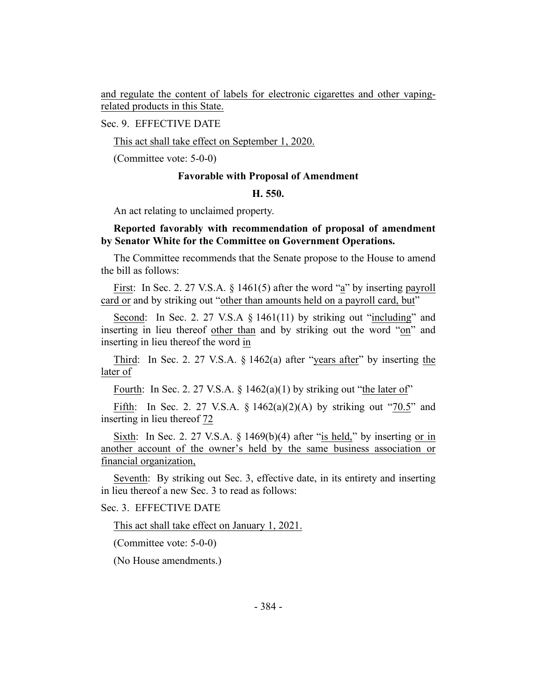and regulate the content of labels for electronic cigarettes and other vapingrelated products in this State.

Sec. 9. EFFECTIVE DATE

This act shall take effect on September 1, 2020.

(Committee vote: 5-0-0)

#### **Favorable with Proposal of Amendment**

#### **H. 550.**

An act relating to unclaimed property.

## **Reported favorably with recommendation of proposal of amendment by Senator White for the Committee on Government Operations.**

The Committee recommends that the Senate propose to the House to amend the bill as follows:

First: In Sec. 2. 27 V.S.A. § 1461(5) after the word "a" by inserting payroll card or and by striking out "other than amounts held on a payroll card, but"

Second: In Sec. 2. 27 V.S.A § 1461(11) by striking out "including" and inserting in lieu thereof other than and by striking out the word "on" and inserting in lieu thereof the word in

Third: In Sec. 2. 27 V.S.A. § 1462(a) after "years after" by inserting the later of

Fourth: In Sec. 2. 27 V.S.A.  $\S$  1462(a)(1) by striking out "the later of"

Fifth: In Sec. 2. 27 V.S.A.  $\S 1462(a)(2)(A)$  by striking out "70.5" and inserting in lieu thereof 72

Sixth: In Sec. 2. 27 V.S.A.  $\S$  1469(b)(4) after "is held," by inserting or in another account of the owner's held by the same business association or financial organization,

Seventh: By striking out Sec. 3, effective date, in its entirety and inserting in lieu thereof a new Sec. 3 to read as follows:

# Sec. 3. EFFECTIVE DATE

This act shall take effect on January 1, 2021.

(Committee vote: 5-0-0)

(No House amendments.)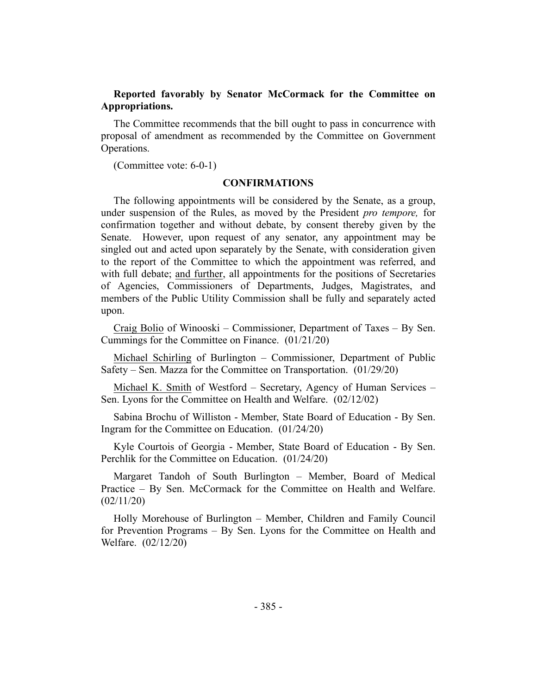# **Reported favorably by Senator McCormack for the Committee on Appropriations.**

The Committee recommends that the bill ought to pass in concurrence with proposal of amendment as recommended by the Committee on Government Operations.

(Committee vote: 6-0-1)

## **CONFIRMATIONS**

The following appointments will be considered by the Senate, as a group, under suspension of the Rules, as moved by the President *pro tempore,* for confirmation together and without debate, by consent thereby given by the Senate. However, upon request of any senator, any appointment may be singled out and acted upon separately by the Senate, with consideration given to the report of the Committee to which the appointment was referred, and with full debate; and further, all appointments for the positions of Secretaries of Agencies, Commissioners of Departments, Judges, Magistrates, and members of the Public Utility Commission shall be fully and separately acted upon.

Craig Bolio of Winooski – Commissioner, Department of Taxes – By Sen. Cummings for the Committee on Finance. (01/21/20)

Michael Schirling of Burlington – Commissioner, Department of Public Safety – Sen. Mazza for the Committee on Transportation. (01/29/20)

Michael K. Smith of Westford – Secretary, Agency of Human Services – Sen. Lyons for the Committee on Health and Welfare. (02/12/02)

Sabina Brochu of Williston - Member, State Board of Education - By Sen. Ingram for the Committee on Education. (01/24/20)

Kyle Courtois of Georgia - Member, State Board of Education - By Sen. Perchlik for the Committee on Education. (01/24/20)

Margaret Tandoh of South Burlington – Member, Board of Medical Practice – By Sen. McCormack for the Committee on Health and Welfare. (02/11/20)

Holly Morehouse of Burlington – Member, Children and Family Council for Prevention Programs – By Sen. Lyons for the Committee on Health and Welfare. (02/12/20)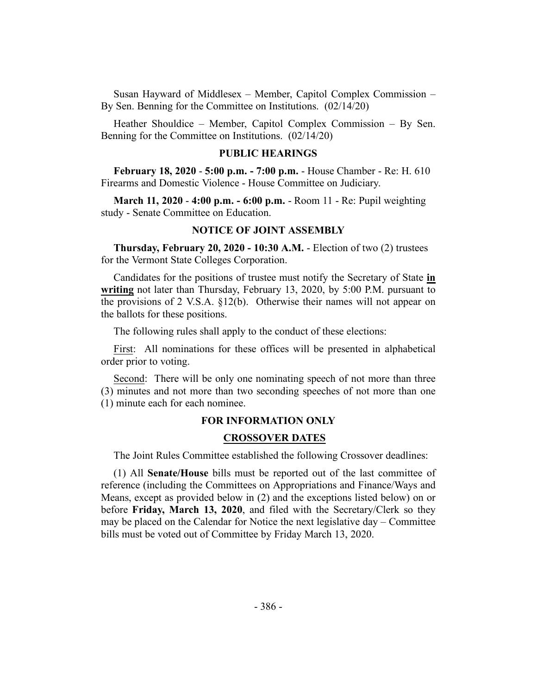Susan Hayward of Middlesex – Member, Capitol Complex Commission – By Sen. Benning for the Committee on Institutions. (02/14/20)

Heather Shouldice – Member, Capitol Complex Commission – By Sen. Benning for the Committee on Institutions. (02/14/20)

#### **PUBLIC HEARINGS**

**February 18, 2020** - **5:00 p.m. - 7:00 p.m.** - House Chamber - Re: H. 610 Firearms and Domestic Violence - House Committee on Judiciary.

**March 11, 2020** - **4:00 p.m. - 6:00 p.m.** - Room 11 - Re: Pupil weighting study - Senate Committee on Education.

## **NOTICE OF JOINT ASSEMBLY**

**Thursday, February 20, 2020 - 10:30 A.M.** - Election of two (2) trustees for the Vermont State Colleges Corporation.

Candidates for the positions of trustee must notify the Secretary of State **in writing** not later than Thursday, February 13, 2020, by 5:00 P.M. pursuant to the provisions of 2 V.S.A. §12(b). Otherwise their names will not appear on the ballots for these positions.

The following rules shall apply to the conduct of these elections:

First: All nominations for these offices will be presented in alphabetical order prior to voting.

Second: There will be only one nominating speech of not more than three (3) minutes and not more than two seconding speeches of not more than one (1) minute each for each nominee.

## **FOR INFORMATION ONLY**

#### **CROSSOVER DATES**

The Joint Rules Committee established the following Crossover deadlines:

(1) All **Senate/House** bills must be reported out of the last committee of reference (including the Committees on Appropriations and Finance/Ways and Means, except as provided below in (2) and the exceptions listed below) on or before **Friday, March 13, 2020**, and filed with the Secretary/Clerk so they may be placed on the Calendar for Notice the next legislative day – Committee bills must be voted out of Committee by Friday March 13, 2020.